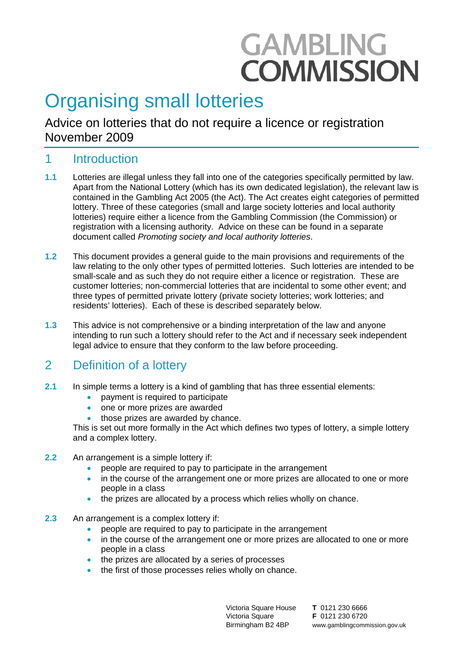# **GAMBLING COMMISSION**

## Organising small lotteries

Advice on lotteries that do not require a licence or registration November 2009

## 1 Introduction

- **1.1** Lotteries are illegal unless they fall into one of the categories specifically permitted by law. Apart from the National Lottery (which has its own dedicated legislation), the relevant law is contained in the Gambling Act 2005 (the Act). The Act creates eight categories of permitted lottery. Three of these categories (small and large society lotteries and local authority lotteries) require either a licence from the Gambling Commission (the Commission) or registration with a licensing authority. Advice on these can be found in a separate document called *Promoting society and local authority lotteries*.
- **1.2** This document provides a general guide to the main provisions and requirements of the law relating to the only other types of permitted lotteries. Such lotteries are intended to be small-scale and as such they do not require either a licence or registration. These are customer lotteries; non-commercial lotteries that are incidental to some other event; and three types of permitted private lottery (private society lotteries; work lotteries; and residents' lotteries). Each of these is described separately below.
- **1.3** This advice is not comprehensive or a binding interpretation of the law and anyone intending to run such a lottery should refer to the Act and if necessary seek independent legal advice to ensure that they conform to the law before proceeding.

## 2 Definition of a lottery

- **2.1** In simple terms a lottery is a kind of gambling that has three essential elements:
	- payment is required to participate
	- one or more prizes are awarded
	- those prizes are awarded by chance.

This is set out more formally in the Act which defines two types of lottery, a simple lottery and a complex lottery.

- **2.2** An arrangement is a simple lottery if:
	- people are required to pay to participate in the arrangement
	- in the course of the arrangement one or more prizes are allocated to one or more people in a class
	- the prizes are allocated by a process which relies wholly on chance.
- **2.3** An arrangement is a complex lottery if:
	- people are required to pay to participate in the arrangement
	- in the course of the arrangement one or more prizes are allocated to one or more people in a class
	- the prizes are allocated by a series of processes
	- the first of those processes relies wholly on chance.

Victoria Square House Victoria Square Birmingham B2 4BP

**T** 0121 230 6666 **F** 0121 230 6720 www.gamblingcommission.gov.uk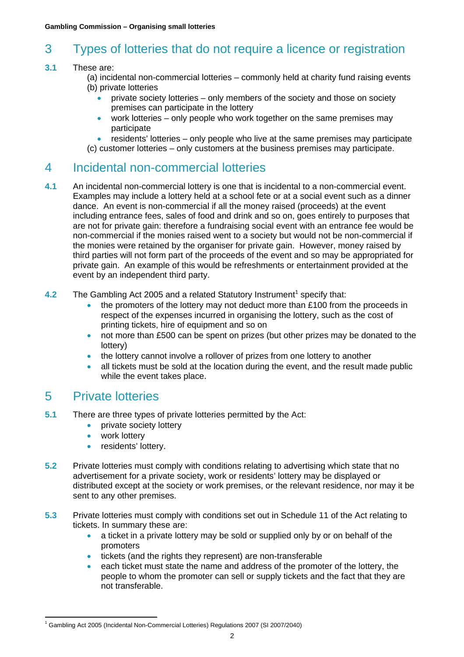## 3 Types of lotteries that do not require a licence or registration

#### **3.1** These are:

- (a) incidental non-commercial lotteries commonly held at charity fund raising events (b) private lotteries
	- private society lotteries only members of the society and those on society premises can participate in the lottery
	- work lotteries only people who work together on the same premises may participate
	- residents' lotteries only people who live at the same premises may participate
- (c) customer lotteries only customers at the business premises may participate.

## 4 Incidental non-commercial lotteries

- **4.1** An incidental non-commercial lottery is one that is incidental to a non-commercial event. Examples may include a lottery held at a school fete or at a social event such as a dinner dance. An event is non-commercial if all the money raised (proceeds) at the event including entrance fees, sales of food and drink and so on, goes entirely to purposes that are not for private gain: therefore a fundraising social event with an entrance fee would be non-commercial if the monies raised went to a society but would not be non-commercial if the monies were retained by the organiser for private gain. However, money raised by third parties will not form part of the proceeds of the event and so may be appropriated for private gain. An example of this would be refreshments or entertainment provided at the event by an independent third party.
- 4.2 The Gambling Act 2005 and a related Statutory Instrument<sup>[1](#page-1-0)</sup> specify that:
	- the promoters of the lottery may not deduct more than £100 from the proceeds in respect of the expenses incurred in organising the lottery, such as the cost of printing tickets, hire of equipment and so on
	- not more than £500 can be spent on prizes (but other prizes may be donated to the lottery)
	- the lottery cannot involve a rollover of prizes from one lottery to another
	- all tickets must be sold at the location during the event, and the result made public while the event takes place.

## 5 Private lotteries

- **5.1** There are three types of private lotteries permitted by the Act:
	- private society lottery
	- work lottery
	- residents' lottery.
- **5.2** Private lotteries must comply with conditions relating to advertising which state that no advertisement for a private society, work or residents' lottery may be displayed or distributed except at the society or work premises, or the relevant residence, nor may it be sent to any other premises.
- **5.3** Private lotteries must comply with conditions set out in Schedule 11 of the Act relating to tickets. In summary these are:
	- a ticket in a private lottery may be sold or supplied only by or on behalf of the promoters
	- tickets (and the rights they represent) are non-transferable
	- each ticket must state the name and address of the promoter of the lottery, the people to whom the promoter can sell or supply tickets and the fact that they are not transferable.

<span id="page-1-0"></span> $\overline{a}$ <sup>1</sup> Gambling Act 2005 (Incidental Non-Commercial Lotteries) Regulations 2007 (SI 2007/2040)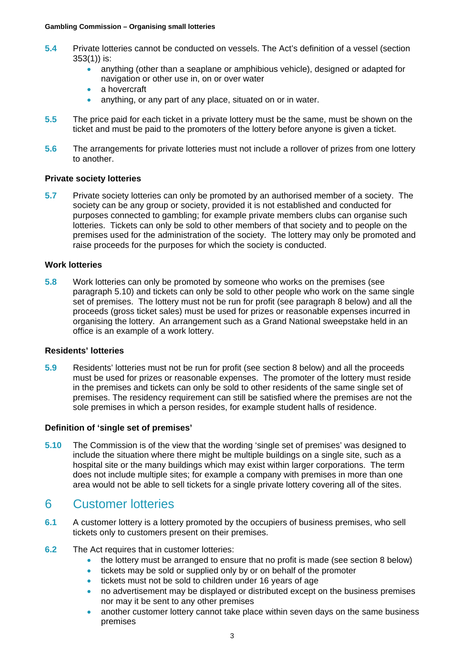- **5.4** Private lotteries cannot be conducted on vessels. The Act's definition of a vessel (section 353(1)) is:
	- anything (other than a seaplane or amphibious vehicle), designed or adapted for navigation or other use in, on or over water
	- a hovercraft
	- anything, or any part of any place, situated on or in water.
- **5.5** The price paid for each ticket in a private lottery must be the same, must be shown on the ticket and must be paid to the promoters of the lottery before anyone is given a ticket.
- **5.6** The arrangements for private lotteries must not include a rollover of prizes from one lottery to another.

#### **Private society lotteries**

**5.7** Private society lotteries can only be promoted by an authorised member of a society. The society can be any group or society, provided it is not established and conducted for purposes connected to gambling; for example private members clubs can organise such lotteries. Tickets can only be sold to other members of that society and to people on the premises used for the administration of the society. The lottery may only be promoted and raise proceeds for the purposes for which the society is conducted.

#### **Work lotteries**

**5.8** Work lotteries can only be promoted by someone who works on the premises (see paragraph 5.10) and tickets can only be sold to other people who work on the same single set of premises. The lottery must not be run for profit (see paragraph 8 below) and all the proceeds (gross ticket sales) must be used for prizes or reasonable expenses incurred in organising the lottery. An arrangement such as a Grand National sweepstake held in an office is an example of a work lottery.

#### **Residents' lotteries**

**5.9** Residents' lotteries must not be run for profit (see section 8 below) and all the proceeds must be used for prizes or reasonable expenses. The promoter of the lottery must reside in the premises and tickets can only be sold to other residents of the same single set of premises. The residency requirement can still be satisfied where the premises are not the sole premises in which a person resides, for example student halls of residence.

#### **Definition of 'single set of premises'**

**5.10** The Commission is of the view that the wording 'single set of premises' was designed to include the situation where there might be multiple buildings on a single site, such as a hospital site or the many buildings which may exist within larger corporations. The term does not include multiple sites; for example a company with premises in more than one area would not be able to sell tickets for a single private lottery covering all of the sites.

### 6 Customer lotteries

- **6.1** A customer lottery is a lottery promoted by the occupiers of business premises, who sell tickets only to customers present on their premises.
- **6.2** The Act requires that in customer lotteries:
	- the lottery must be arranged to ensure that no profit is made (see section 8 below)
	- tickets may be sold or supplied only by or on behalf of the promoter
	- tickets must not be sold to children under 16 years of age
	- no advertisement may be displayed or distributed except on the business premises nor may it be sent to any other premises
	- another customer lottery cannot take place within seven days on the same business premises